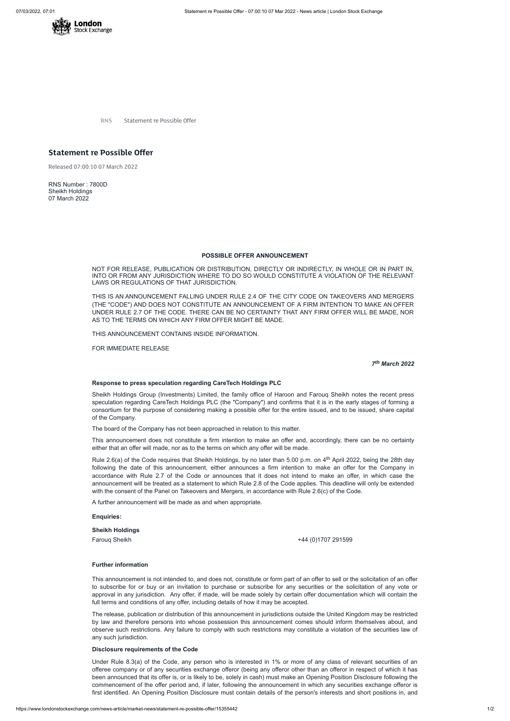

**RNS** Statement re Possible Offer

# **Statement re Possible Offer**

Released 07:00:10 07 March 2022

RNS Number : 7800D Sheikh Holdings 07 March 2022

### **POSSIBLE OFFER ANNOUNCEMENT**

NOT FOR RELEASE, PUBLICATION OR DISTRIBUTION, DIRECTLY OR INDIRECTLY, IN WHOLE OR IN PART IN, INTO OR FROM ANY JURISDICTION WHERE TO DO SO WOULD CONSTITUTE A VIOLATION OF THE RELEVANT LAWS OR REGULATIONS OF THAT JURISDICTION.

THIS IS AN ANNOUNCEMENT FALLING UNDER RULE 2.4 OF THE CITY CODE ON TAKEOVERS AND MERGERS (THE "CODE") AND DOES NOT CONSTITUTE AN ANNOUNCEMENT OF A FIRM INTENTION TO MAKE AN OFFER UNDER RULE 2.7 OF THE CODE. THERE CAN BE NO CERTAINTY THAT ANY FIRM OFFER WILL BE MADE, NOR AS TO THE TERMS ON WHICH ANY FIRM OFFER MIGHT BE MADE.

THIS ANNOUNCEMENT CONTAINS INSIDE INFORMATION.

FOR IMMEDIATE RELEASE

*7 th March 2022*

#### **Response to press speculation regarding CareTech Holdings PLC**

Rule 2.6(a) of the Code requires that Sheikh Holdings, by no later than 5.00 p.m. on 4<sup>th</sup> April 2022, being the 28th day following the date of this announcement, either announces a firm intention to make an offer for the Company in accordance with Rule 2.7 of the Code or announces that it does not intend to make an offer, in which case the announcement will be treated as a statement to which Rule 2.8 of the Code applies. This deadline will only be extended with the consent of the Panel on Takeovers and Mergers, in accordance with Rule 2.6(c) of the Code.

Sheikh Holdings Group (Investments) Limited, the family office of Haroon and Farouq Sheikh notes the recent press speculation regarding CareTech Holdings PLC (the "Company") and confirms that it is in the early stages of forming a consortium for the purpose of considering making a possible offer for the entire issued, and to be issued, share capital of the Company.

The board of the Company has not been approached in relation to this matter.

This announcement does not constitute a firm intention to make an offer and, accordingly, there can be no certainty either that an offer will made, nor as to the terms on which any offer will be made.

A further announcement will be made as and when appropriate.

**Enquiries:**

**Sheikh Holdings**

### **Further information**

This announcement is not intended to, and does not, constitute or form part of an offer to sell or the solicitation of an offer to subscribe for or buy or an invitation to purchase or subscribe for any securities or the solicitation of any vote or approval in any jurisdiction. Any offer, if made, will be made solely by certain offer documentation which will contain the full terms and conditions of any offer, including details of how it may be accepted.

The release, publication or distribution of this announcement in jurisdictions outside the United Kingdom may be restricted by law and therefore persons into whose possession this announcement comes should inform themselves about, and observe such restrictions. Any failure to comply with such restrictions may constitute a violation of the securities law of any such jurisdiction.

## **Disclosure requirements of the Code**

Under Rule 8.3(a) of the Code, any person who is interested in 1% or more of any class of relevant securities of an offeree company or of any securities exchange offeror (being any offeror other than an offeror in respect of which it has been announced that its offer is, or is likely to be, solely in cash) must make an Opening Position Disclosure following the commencement of the offer period and, if later, following the announcement in which any securities exchange offeror is first identified. An Opening Position Disclosure must contain details of the person's interests and short positions in, and